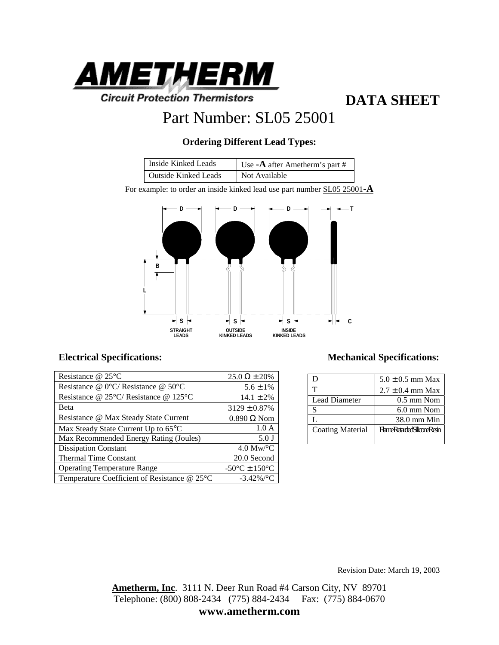

**DATA SHEET**

## Part Number: SL05 25001

### **Ordering Different Lead Types:**

| Inside Kinked Leads         | Use - $\bf{A}$ after Ametherm's part # |
|-----------------------------|----------------------------------------|
| <b>Outside Kinked Leads</b> | Not Available                          |

For example: to order an inside kinked lead use part number SL05 25001**-A**



| Resistance $@$ 25 $°C$                                     | $25.0 \Omega \pm 20\%$                              |
|------------------------------------------------------------|-----------------------------------------------------|
| Resistance @ 0°C/ Resistance @ 50°C                        | $5.6 \pm 1\%$                                       |
| Resistance @ $25^{\circ}$ C/ Resistance @ 125 $^{\circ}$ C | $14.1 \pm 2\%$                                      |
| Beta                                                       | $3129 \pm 0.87\%$                                   |
| Resistance @ Max Steady State Current                      | $0.890 \Omega$ Nom                                  |
| Max Steady State Current Up to 65°C                        | 1.0A                                                |
| Max Recommended Energy Rating (Joules)                     | $5.0$ J                                             |
| <b>Dissipation Constant</b>                                | $4.0 \text{ Mw}$ <sup>o</sup> C                     |
| <b>Thermal Time Constant</b>                               | 20.0 Second                                         |
| <b>Operating Temperature Range</b>                         | -50 $\mathrm{^{\circ}C}$ ± 150 $\mathrm{^{\circ}C}$ |
| Temperature Coefficient of Resistance @ 25°C               | $-3.42\%$ /°C                                       |

#### Electrical Specifications: **Mechanical Specifications: Mechanical Specifications:**

|                         | $5.0 \pm 0.5$ mm Max              |
|-------------------------|-----------------------------------|
| т                       | $2.7 \pm 0.4$ mm Max              |
| <b>Lead Diameter</b>    | $0.5$ mm Nom                      |
| S                       | $6.0 \text{ mm}$ Nom              |
|                         | 38.0 mm Min                       |
| <b>Coating Material</b> | <b>FlameRetarbetSiliconeResin</b> |
|                         |                                   |

Revision Date: March 19, 2003

**Ametherm, Inc**. 3111 N. Deer Run Road #4 Carson City, NV 89701 Telephone: (800) 808-2434 (775) 884-2434 Fax: (775) 884-0670

**www.ametherm.com**